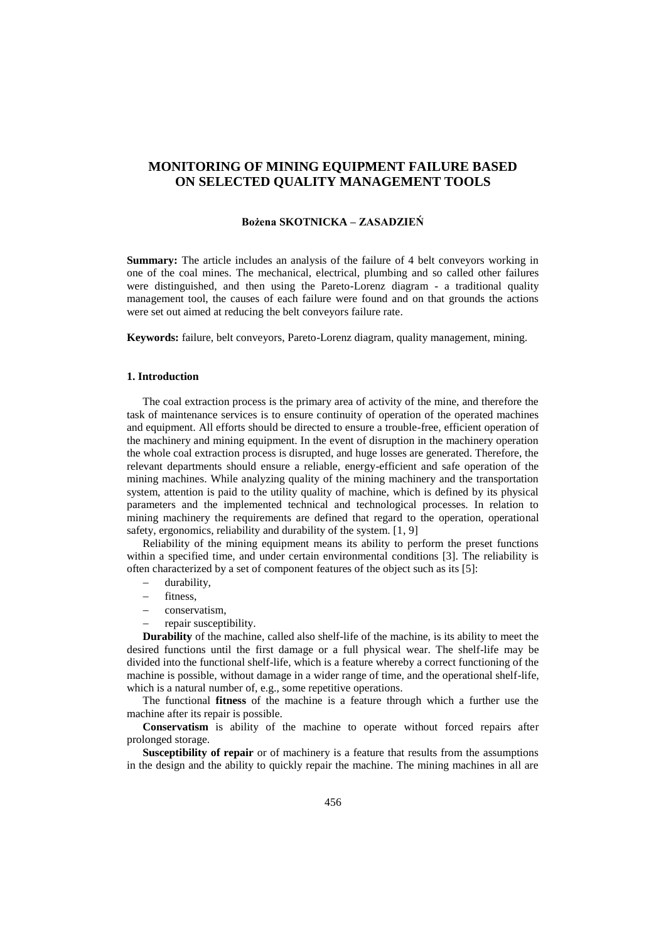# **MONITORING OF MINING EQUIPMENT FAILURE BASED ON SELECTED QUALITY MANAGEMENT TOOLS**

#### **Bożena SKOTNICKA – ZASADZIEŃ**

**Summary:** The article includes an analysis of the failure of 4 belt conveyors working in one of the coal mines. The mechanical, electrical, plumbing and so called other failures were distinguished, and then using the Pareto-Lorenz diagram - a traditional quality management tool, the causes of each failure were found and on that grounds the actions were set out aimed at reducing the belt conveyors failure rate.

**Keywords:** failure, belt conveyors, Pareto-Lorenz diagram, quality management, mining.

#### **1. Introduction**

The coal extraction process is the primary area of activity of the mine, and therefore the task of maintenance services is to ensure continuity of operation of the operated machines and equipment. All efforts should be directed to ensure a trouble-free, efficient operation of the machinery and mining equipment. In the event of disruption in the machinery operation the whole coal extraction process is disrupted, and huge losses are generated. Therefore, the relevant departments should ensure a reliable, energy-efficient and safe operation of the mining machines. While analyzing quality of the mining machinery and the transportation system, attention is paid to the utility quality of machine, which is defined by its physical parameters and the implemented technical and technological processes. In relation to mining machinery the requirements are defined that regard to the operation, operational safety, ergonomics, reliability and durability of the system. [1, 9]

Reliability of the mining equipment means its ability to perform the preset functions within a specified time, and under certain environmental conditions [3]. The reliability is often characterized by a set of component features of the object such as its [5]:

- durability,
- fitness,
- conservatism,
- repair susceptibility.

**Durability** of the machine, called also shelf-life of the machine, is its ability to meet the desired functions until the first damage or a full physical wear. The shelf-life may be divided into the functional shelf-life, which is a feature whereby a correct functioning of the machine is possible, without damage in a wider range of time, and the operational shelf-life, which is a natural number of, e.g., some repetitive operations.

The functional **fitness** of the machine is a feature through which a further use the machine after its repair is possible.

**Conservatism** is ability of the machine to operate without forced repairs after prolonged storage.

**Susceptibility of repair** or of machinery is a feature that results from the assumptions in the design and the ability to quickly repair the machine. The mining machines in all are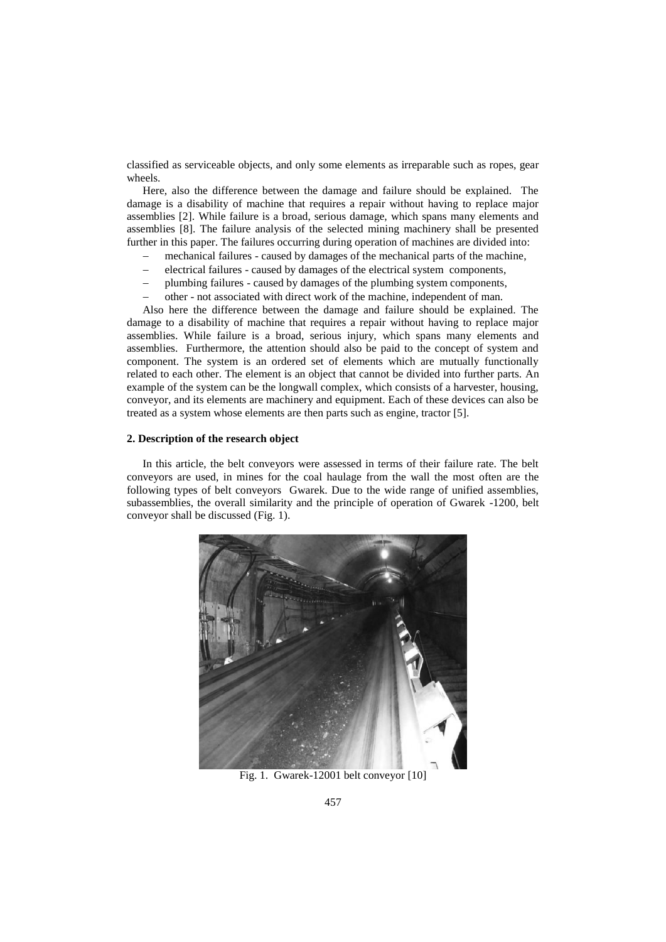classified as serviceable objects, and only some elements as irreparable such as ropes, gear wheels.

Here, also the difference between the damage and failure should be explained. The damage is a disability of machine that requires a repair without having to replace major assemblies [2]. While failure is a broad, serious damage, which spans many elements and assemblies [8]. The failure analysis of the selected mining machinery shall be presented further in this paper. The failures occurring during operation of machines are divided into:

- mechanical failures caused by damages of the mechanical parts of the machine,
- electrical failures caused by damages of the electrical system components,
- plumbing failures caused by damages of the plumbing system components,
- other not associated with direct work of the machine, independent of man.

Also here the difference between the damage and failure should be explained. The damage to a disability of machine that requires a repair without having to replace major assemblies. While failure is a broad, serious injury, which spans many elements and assemblies. Furthermore, the attention should also be paid to the concept of system and component. The system is an ordered set of elements which are mutually functionally related to each other. The element is an object that cannot be divided into further parts. An example of the system can be the longwall complex, which consists of a harvester, housing, conveyor, and its elements are machinery and equipment. Each of these devices can also be treated as a system whose elements are then parts such as engine, tractor [5].

#### **2. Description of the research object**

In this article, the belt conveyors were assessed in terms of their failure rate. The belt conveyors are used, in mines for the coal haulage from the wall the most often are the following types of belt conveyors Gwarek. Due to the wide range of unified assemblies, subassemblies, the overall similarity and the principle of operation of Gwarek -1200, belt conveyor shall be discussed (Fig. 1).



Fig. 1. Gwarek-12001 belt conveyor [10]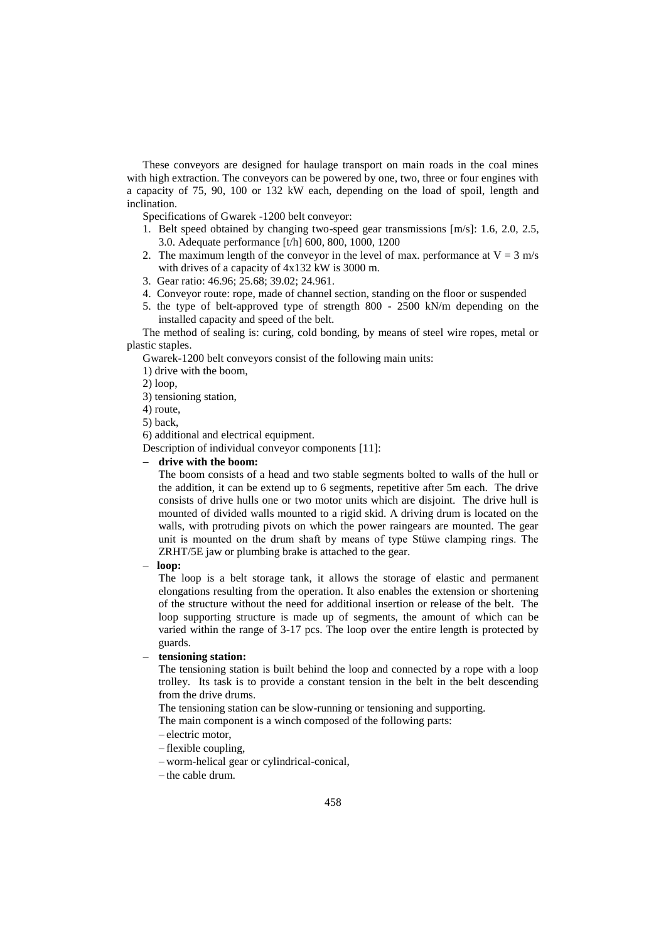These conveyors are designed for haulage transport on main roads in the coal mines with high extraction. The conveyors can be powered by one, two, three or four engines with a capacity of 75, 90, 100 or 132 kW each, depending on the load of spoil, length and inclination.

Specifications of Gwarek -1200 belt conveyor:

- 1. Belt speed obtained by changing two-speed gear transmissions [m/s]: 1.6, 2.0, 2.5, 3.0. Adequate performance [t/h] 600, 800, 1000, 1200
- 2. The maximum length of the conveyor in the level of max. performance at  $V = 3$  m/s with drives of a capacity of 4x132 kW is 3000 m.
- 3. Gear ratio: 46.96; 25.68; 39.02; 24.961.
- 4. Conveyor route: rope, made of channel section, standing on the floor or suspended
- 5. the type of belt-approved type of strength 800 2500 kN/m depending on the installed capacity and speed of the belt.

The method of sealing is: curing, cold bonding, by means of steel wire ropes, metal or plastic staples.

Gwarek-1200 belt conveyors consist of the following main units:

1) drive with the boom,

2) loop,

- 3) tensioning station,
- 4) route,

5) back,

6) additional and electrical equipment.

Description of individual conveyor components [11]:

# **drive with the boom:**

The boom consists of a head and two stable segments bolted to walls of the hull or the addition, it can be extend up to 6 segments, repetitive after 5m each. The drive consists of drive hulls one or two motor units which are disjoint. The drive hull is mounted of divided walls mounted to a rigid skid. A driving drum is located on the walls, with protruding pivots on which the power raingears are mounted. The gear unit is mounted on the drum shaft by means of type Stüwe clamping rings. The ZRHT/5E jaw or plumbing brake is attached to the gear.

#### **loop:**

The loop is a belt storage tank, it allows the storage of elastic and permanent elongations resulting from the operation. It also enables the extension or shortening of the structure without the need for additional insertion or release of the belt. The loop supporting structure is made up of segments, the amount of which can be varied within the range of 3-17 pcs. The loop over the entire length is protected by guards.

**tensioning station:**

The tensioning station is built behind the loop and connected by a rope with a loop trolley. Its task is to provide a constant tension in the belt in the belt descending from the drive drums.

The tensioning station can be slow-running or tensioning and supporting.

The main component is a winch composed of the following parts:

- -electric motor,
- $-$ flexible coupling,
- worm-helical gear or cylindrical-conical,
- $-th$ e cable drum.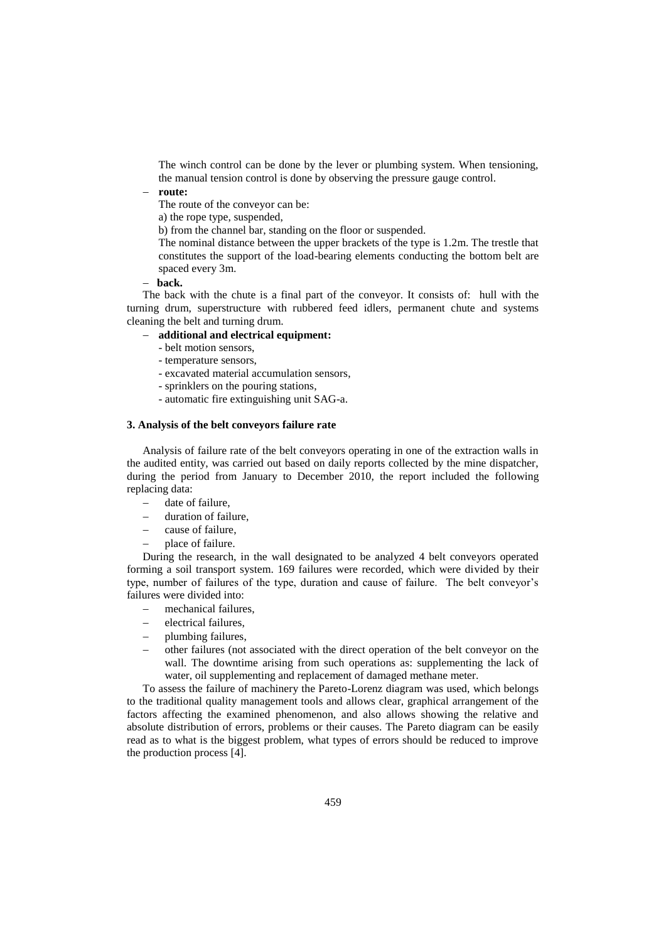The winch control can be done by the lever or plumbing system. When tensioning, the manual tension control is done by observing the pressure gauge control.

**route:**

The route of the conveyor can be:

a) the rope type, suspended,

b) from the channel bar, standing on the floor or suspended.

The nominal distance between the upper brackets of the type is 1.2m. The trestle that constitutes the support of the load-bearing elements conducting the bottom belt are spaced every 3m.

**back.**

The back with the chute is a final part of the conveyor. It consists of: hull with the turning drum, superstructure with rubbered feed idlers, permanent chute and systems cleaning the belt and turning drum.

# **additional and electrical equipment:**

- belt motion sensors,
- temperature sensors,
- excavated material accumulation sensors,
- sprinklers on the pouring stations,
- automatic fire extinguishing unit SAG-a.

# **3. Analysis of the belt conveyors failure rate**

Analysis of failure rate of the belt conveyors operating in one of the extraction walls in the audited entity, was carried out based on daily reports collected by the mine dispatcher, during the period from January to December 2010, the report included the following replacing data:

- date of failure,
- duration of failure,
- cause of failure,
- place of failure.

During the research, in the wall designated to be analyzed 4 belt conveyors operated forming a soil transport system. 169 failures were recorded, which were divided by their type, number of failures of the type, duration and cause of failure. The belt conveyor's failures were divided into:

- mechanical failures,
- electrical failures,
- plumbing failures,
- other failures (not associated with the direct operation of the belt conveyor on the wall. The downtime arising from such operations as: supplementing the lack of water, oil supplementing and replacement of damaged methane meter.

To assess the failure of machinery the Pareto-Lorenz diagram was used, which belongs to the traditional quality management tools and allows clear, graphical arrangement of the factors affecting the examined phenomenon, and also allows showing the relative and absolute distribution of errors, problems or their causes. The Pareto diagram can be easily read as to what is the biggest problem, what types of errors should be reduced to improve the production process [4].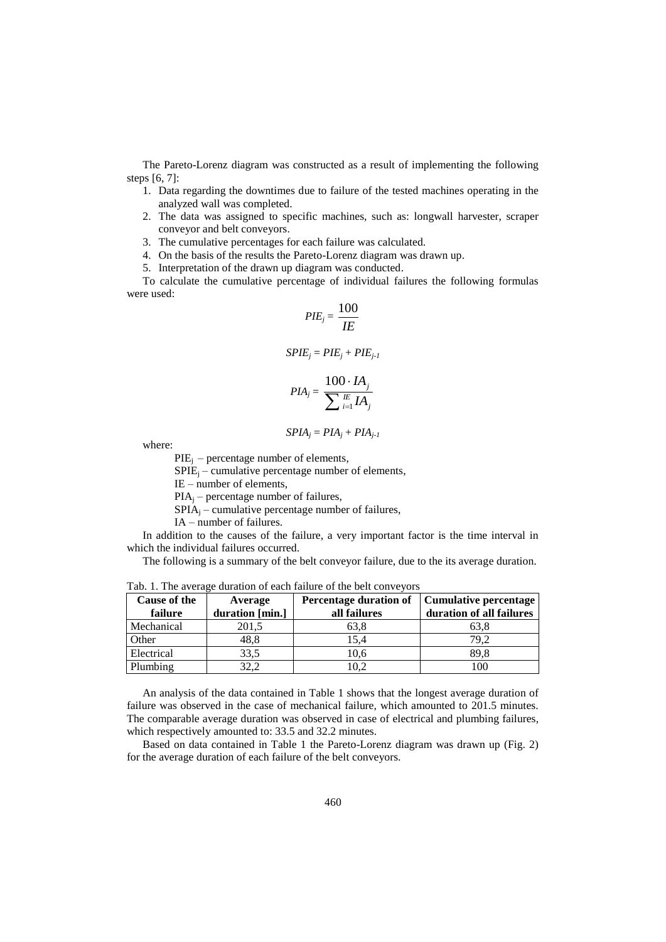The Pareto-Lorenz diagram was constructed as a result of implementing the following steps [6, 7]:

- 1. Data regarding the downtimes due to failure of the tested machines operating in the analyzed wall was completed.
- 2. The data was assigned to specific machines, such as: longwall harvester, scraper conveyor and belt conveyors.
- 3. The cumulative percentages for each failure was calculated.
- 4. On the basis of the results the Pareto-Lorenz diagram was drawn up.
- 5. Interpretation of the drawn up diagram was conducted.

To calculate the cumulative percentage of individual failures the following formulas were used:

$$
PIE_j = \frac{100}{IE}
$$

$$
SPIE_j = PIE_j + PIE_{j-1}
$$

$$
PIA_j = \frac{100 \cdot IA_j}{\sum_{i=1}^{I\!E} IA_j}
$$

$$
SPIA_j = PIA_j + PIA_{j-1}
$$

where:

 $PIE_i$  – percentage number of elements,

 $SPIE_i$  – cumulative percentage number of elements,

IE – number of elements,

 $PIA_i$  – percentage number of failures,

 $SPIA<sub>i</sub>$  – cumulative percentage number of failures,

IA – number of failures.

In addition to the causes of the failure, a very important factor is the time interval in which the individual failures occurred.

The following is a summary of the belt conveyor failure, due to the its average duration.

| Cause of the | Average         | Percentage duration of | Cumulative percentage    |
|--------------|-----------------|------------------------|--------------------------|
| failure      | duration [min.] | all failures           | duration of all failures |
| Mechanical   | 201.5           | 63.8                   | 63.8                     |
| Other        | 48,8            | 15.4                   | 79.2                     |
| Electrical   | 33,5            | 10.6                   | 89.8                     |
| Plumbing     | 32,2            | 0.2                    | 100                      |

Tab. 1. The average duration of each failure of the belt conveyors

An analysis of the data contained in Table 1 shows that the longest average duration of failure was observed in the case of mechanical failure, which amounted to 201.5 minutes. The comparable average duration was observed in case of electrical and plumbing failures, which respectively amounted to: 33.5 and 32.2 minutes.

Based on data contained in Table 1 the Pareto-Lorenz diagram was drawn up (Fig. 2) for the average duration of each failure of the belt conveyors.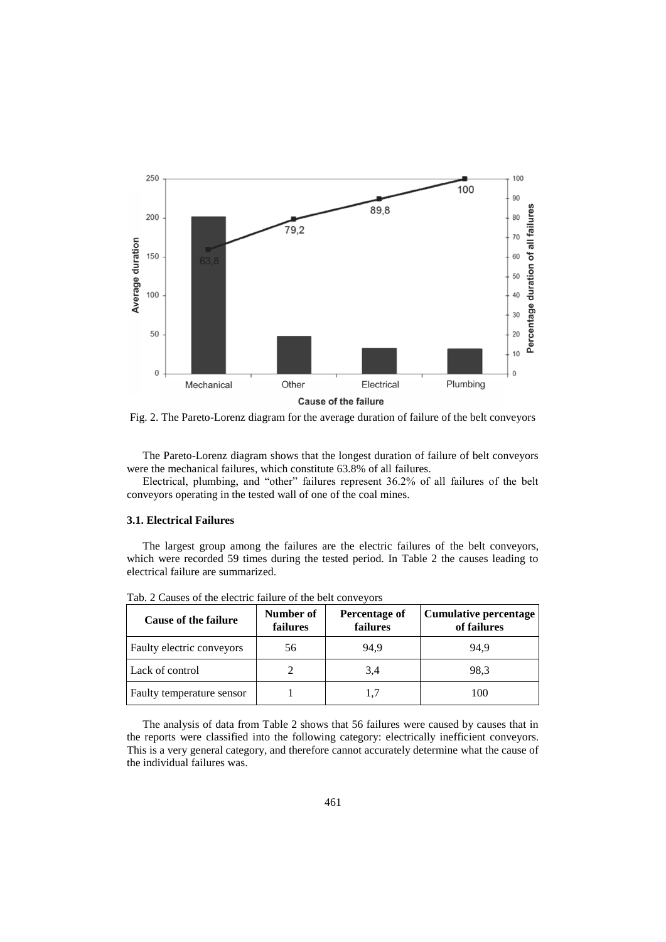

Fig. 2. The Pareto-Lorenz diagram for the average duration of failure of the belt conveyors

The Pareto-Lorenz diagram shows that the longest duration of failure of belt conveyors were the mechanical failures, which constitute 63.8% of all failures.

Electrical, plumbing, and "other" failures represent 36.2% of all failures of the belt conveyors operating in the tested wall of one of the coal mines.

#### **3.1. Electrical Failures**

The largest group among the failures are the electric failures of the belt conveyors, which were recorded 59 times during the tested period. In Table 2 the causes leading to electrical failure are summarized.

| <b>Cause of the failure</b> | Number of<br>failures | Percentage of<br>failures | <b>Cumulative percentage</b><br>of failures |
|-----------------------------|-----------------------|---------------------------|---------------------------------------------|
| Faulty electric conveyors   | 56                    | 94,9                      | 94.9                                        |
| Lack of control             |                       | 3,4                       | 98.3                                        |
| Faulty temperature sensor   |                       |                           | 100                                         |

Tab. 2 Causes of the electric failure of the belt conveyors

The analysis of data from Table 2 shows that 56 failures were caused by causes that in the reports were classified into the following category: electrically inefficient conveyors. This is a very general category, and therefore cannot accurately determine what the cause of the individual failures was.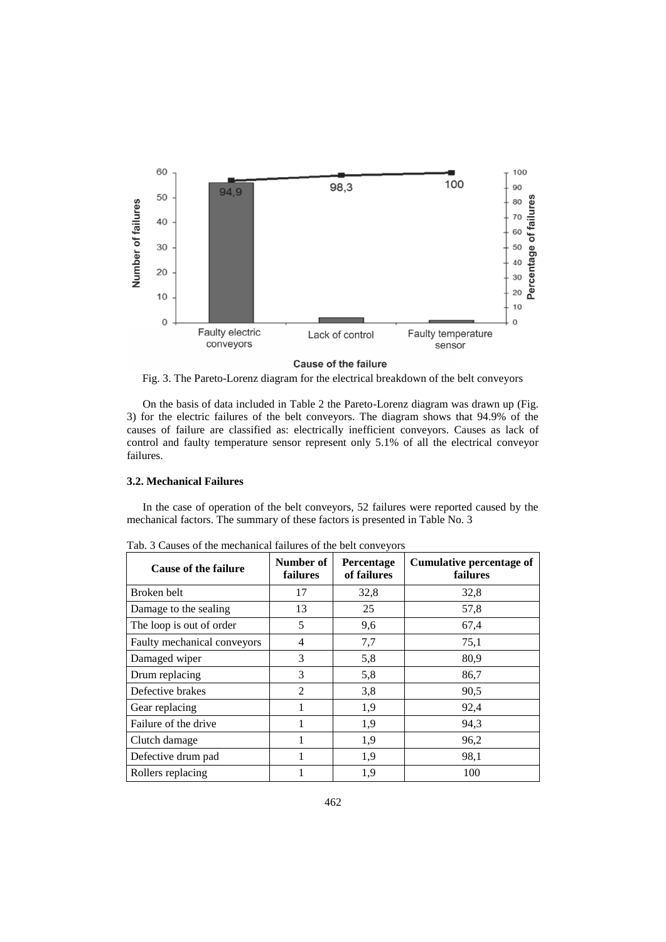

**Cause of the failure** 

Fig. 3. The Pareto-Lorenz diagram for the electrical breakdown of the belt conveyors

On the basis of data included in Table 2 the Pareto-Lorenz diagram was drawn up (Fig. 3) for the electric failures of the belt conveyors. The diagram shows that 94.9% of the causes of failure are classified as: electrically inefficient conveyors. Causes as lack of control and faulty temperature sensor represent only 5.1% of all the electrical conveyor failures.

#### **3.2. Mechanical Failures**

In the case of operation of the belt conveyors, 52 failures were reported caused by the mechanical factors. The summary of these factors is presented in Table No. 3

| <b>Cause of the failure</b> | Number of<br>failures | Percentage<br>of failures | Cumulative percentage of<br><b>failures</b> |
|-----------------------------|-----------------------|---------------------------|---------------------------------------------|
| Broken belt                 | 17                    | 32,8                      | 32,8                                        |
| Damage to the sealing       | 13                    | 25                        | 57,8                                        |
| The loop is out of order    | 5                     | 9,6                       | 67,4                                        |
| Faulty mechanical conveyors | 4                     | 7,7                       | 75,1                                        |
| Damaged wiper               | 3                     | 5,8                       | 80,9                                        |
| Drum replacing              | 3                     | 5,8                       | 86,7                                        |
| Defective brakes            | $\overline{2}$        | 3,8                       | 90,5                                        |
| Gear replacing              | 1                     | 1,9                       | 92,4                                        |
| Failure of the drive        |                       | 1,9                       | 94,3                                        |
| Clutch damage               |                       | 1,9                       | 96,2                                        |
| Defective drum pad          |                       | 1,9                       | 98,1                                        |
| Rollers replacing           |                       | 1,9                       | 100                                         |

Tab. 3 Causes of the mechanical failures of the belt conveyors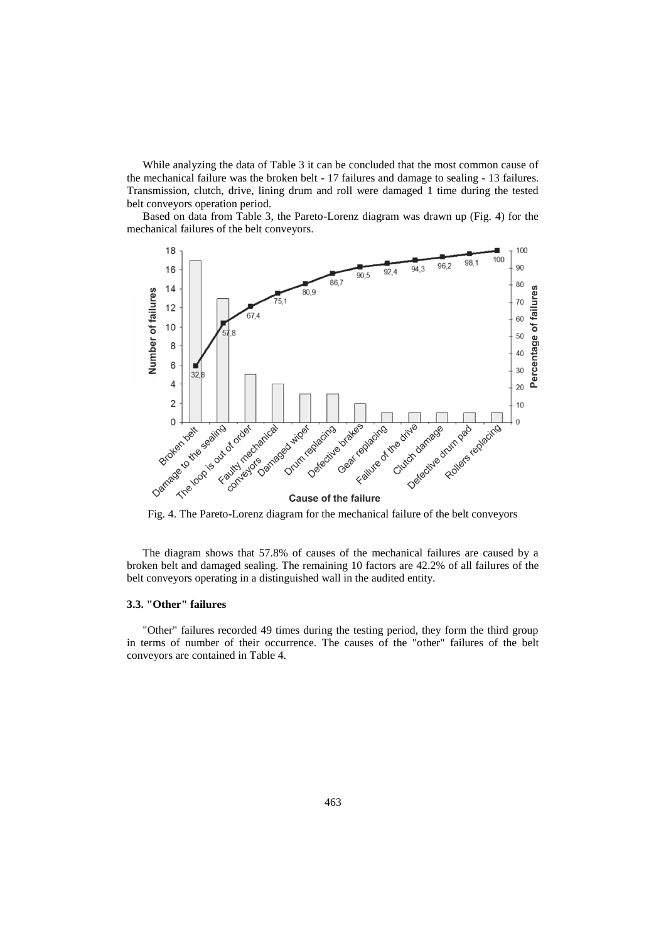While analyzing the data of Table 3 it can be concluded that the most common cause of the mechanical failure was the broken belt - 17 failures and damage to sealing - 13 failures. Transmission, clutch, drive, lining drum and roll were damaged 1 time during the tested belt conveyors operation period.

Based on data from Table 3, the Pareto-Lorenz diagram was drawn up (Fig. 4) for the mechanical failures of the belt conveyors.



The diagram shows that 57.8% of causes of the mechanical failures are caused by a broken belt and damaged sealing. The remaining 10 factors are 42.2% of all failures of the belt conveyors operating in a distinguished wall in the audited entity.

# **3.3. "Other" failures**

"Other" failures recorded 49 times during the testing period, they form the third group in terms of number of their occurrence. The causes of the "other" failures of the belt conveyors are contained in Table 4.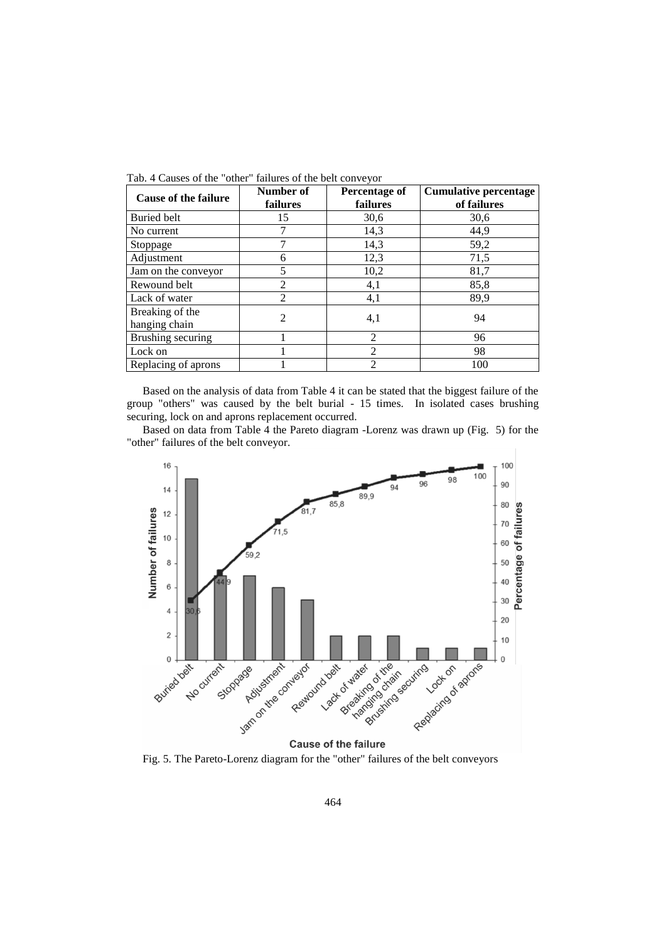| <b>Cause of the failure</b> | Number of<br>failures | Percentage of<br>failures | <b>Cumulative percentage</b><br>of failures |  |  |  |
|-----------------------------|-----------------------|---------------------------|---------------------------------------------|--|--|--|
| <b>Buried belt</b>          | 15                    | 30,6                      | 30,6                                        |  |  |  |
| No current                  |                       | 14,3                      | 44,9                                        |  |  |  |
| Stoppage                    | 7                     | 14,3                      | 59,2                                        |  |  |  |
| Adjustment                  | 6                     | 12,3                      | 71,5                                        |  |  |  |
| Jam on the conveyor         | 5                     | 10,2                      | 81,7                                        |  |  |  |
| Rewound belt                | $\overline{2}$        | 4,1                       | 85,8                                        |  |  |  |
| Lack of water               | $\overline{c}$        | 4,1                       | 89,9                                        |  |  |  |
| Breaking of the             | $\overline{c}$        | 4,1                       | 94                                          |  |  |  |
| hanging chain               |                       |                           |                                             |  |  |  |
| Brushing securing           |                       | $\overline{2}$            | 96                                          |  |  |  |
| Lock on                     |                       | 2                         | 98                                          |  |  |  |
| Replacing of aprons         |                       | $\overline{c}$            | 100                                         |  |  |  |

Tab. 4 Causes of the "other" failures of the belt conveyor

Based on the analysis of data from Table 4 it can be stated that the biggest failure of the group "others" was caused by the belt burial - 15 times. In isolated cases brushing securing, lock on and aprons replacement occurred.

Based on data from Table 4 the Pareto diagram -Lorenz was drawn up (Fig. 5) for the "other" failures of the belt conveyor.



Fig. 5. The Pareto-Lorenz diagram for the "other" failures of the belt conveyors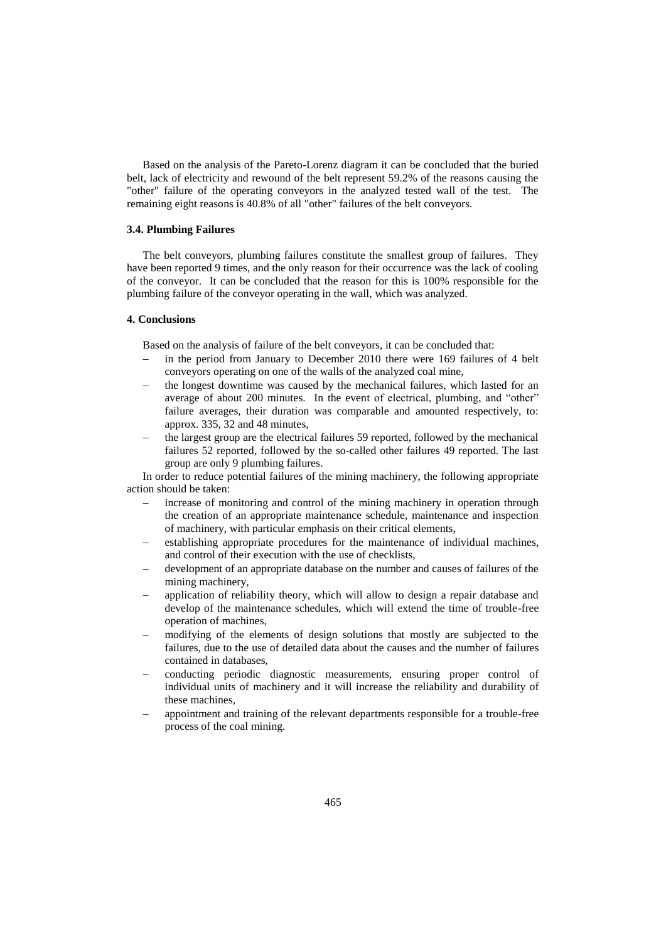Based on the analysis of the Pareto-Lorenz diagram it can be concluded that the buried belt, lack of electricity and rewound of the belt represent 59.2% of the reasons causing the "other" failure of the operating conveyors in the analyzed tested wall of the test. The remaining eight reasons is 40.8% of all "other" failures of the belt conveyors.

# **3.4. Plumbing Failures**

The belt conveyors, plumbing failures constitute the smallest group of failures. They have been reported 9 times, and the only reason for their occurrence was the lack of cooling of the conveyor. It can be concluded that the reason for this is 100% responsible for the plumbing failure of the conveyor operating in the wall, which was analyzed.

#### **4. Conclusions**

Based on the analysis of failure of the belt conveyors, it can be concluded that:

- in the period from January to December 2010 there were 169 failures of 4 belt conveyors operating on one of the walls of the analyzed coal mine,
- the longest downtime was caused by the mechanical failures, which lasted for an average of about 200 minutes. In the event of electrical, plumbing, and "other" failure averages, their duration was comparable and amounted respectively, to: approx. 335, 32 and 48 minutes,
- the largest group are the electrical failures 59 reported, followed by the mechanical failures 52 reported, followed by the so-called other failures 49 reported. The last group are only 9 plumbing failures.

In order to reduce potential failures of the mining machinery, the following appropriate action should be taken:

- increase of monitoring and control of the mining machinery in operation through the creation of an appropriate maintenance schedule, maintenance and inspection of machinery, with particular emphasis on their critical elements,
- establishing appropriate procedures for the maintenance of individual machines, and control of their execution with the use of checklists,
- development of an appropriate database on the number and causes of failures of the mining machinery,
- application of reliability theory, which will allow to design a repair database and develop of the maintenance schedules, which will extend the time of trouble-free operation of machines,
- modifying of the elements of design solutions that mostly are subjected to the failures, due to the use of detailed data about the causes and the number of failures contained in databases,
- conducting periodic diagnostic measurements, ensuring proper control of individual units of machinery and it will increase the reliability and durability of these machines,
- appointment and training of the relevant departments responsible for a trouble-free process of the coal mining.